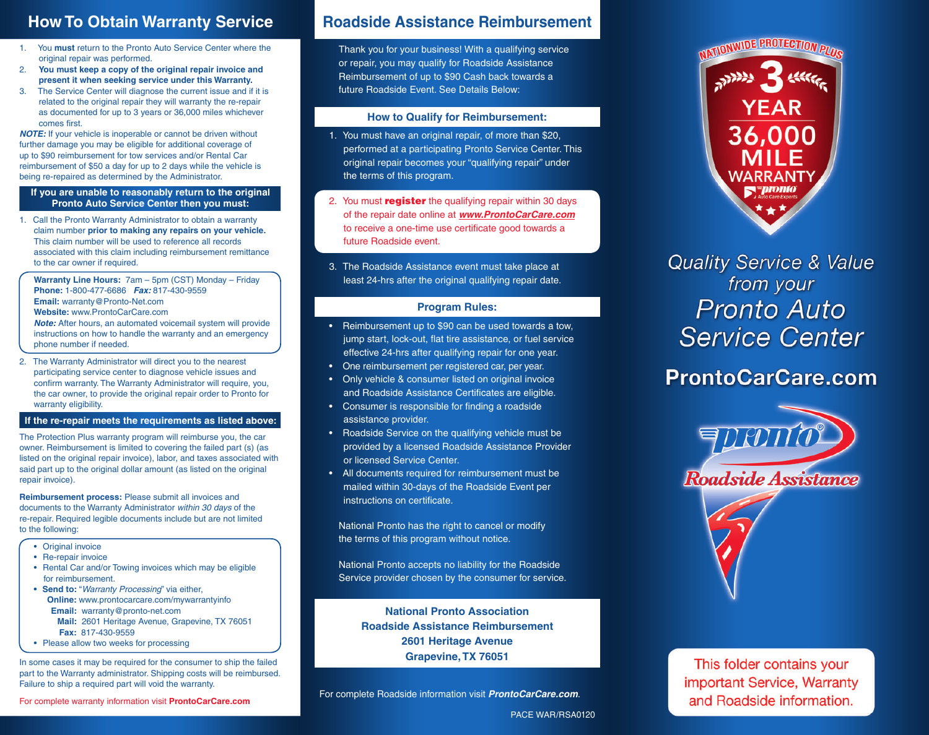- 1. You **must** return to the Pronto Auto Service Center where the original repair was performed.
- 2. **You must keep a copy of the original repair invoice and present it when seeking service under this Warranty.**
- 3. The Service Center will diagnose the current issue and if it is related to the original repair they will warranty the re-repair as documented for up to 3 years or 36,000 miles whichever comes first.

**NOTE:** If your vehicle is inoperable or cannot be driven without further damage you may be eligible for additional coverage of up to \$90 reimbursement for tow services and/or Rental Car reimbursement of \$50 a day for up to 2 days while the vehicle is being re-repaired as determined by the Administrator.

### **If you are unable to reasonably return to the original Pronto Auto Service Center then you must:**

1. Call the Pronto Warranty Administrator to obtain a warranty claim number **prior to making any repairs on your vehicle.**  This claim number will be used to reference all records associated with this claim including reimbursement remittance to the car owner if required.

**Warranty Line Hours:** 7am – 5pm (CST) Monday – Friday **Phone:** 1-800-477-6686 **Fax:** 817-430-9559 **Email:** warranty@Pronto-Net.com **Website:** www.ProntoCarCare.com

**Note:** After hours, an automated voicemail system will provide instructions on how to handle the warranty and an emergency phone number if needed.

2. The Warranty Administrator will direct you to the nearest participating service center to diagnose vehicle issues and confirm warranty. The Warranty Administrator will require, you, the car owner, to provide the original repair order to Pronto for warranty eligibility.

### **If the re-repair meets the requirements as listed above:**

The Protection Plus warranty program will reimburse you, the car owner. Reimbursement is limited to covering the failed part (s) (as listed on the original repair invoice), labor, and taxes associated with said part up to the original dollar amount (as listed on the original repair invoice).

**Reimbursement process:** Please submit all invoices and documents to the Warranty Administrator within 30 days of the re-repair. Required legible documents include but are not limited to the following:

- Original invoice
- Re-repair invoice
- Rental Car and/or Towing invoices which may be eligible for reimbursement.
- **• Send to:** "Warranty Processing" via either, **Online:** www.prontocarcare.com/mywarrantyinfo  **Email:** warranty@pronto-net.com **Mail:** 2601 Heritage Avenue, Grapevine, TX 76051 **Fax:** 817-430-9559
- Please allow two weeks for processing

In some cases it may be required for the consumer to ship the failed part to the Warranty administrator. Shipping costs will be reimbursed. Failure to ship a required part will void the warranty.

## **How To Obtain Warranty Service Roadside Assistance Reimbursement**

Thank you for your business! With a qualifying service or repair, you may qualify for Roadside Assistance Reimbursement of up to \$90 Cash back towards a future Roadside Event. See Details Below:

### **How to Qualify for Reimbursement:**

- 1. You must have an original repair, of more than \$20, performed at a participating Pronto Service Center. This original repair becomes your "qualifying repair" under the terms of this program.
- 2. You must **register** the qualifying repair within 30 days of the repair date online at **www.ProntoCarCare.com** to receive a one-time use certificate good towards a future Roadside event.
- 3. The Roadside Assistance event must take place at least 24-hrs after the original qualifying repair date.

### **Program Rules:**

- Reimbursement up to \$90 can be used towards a tow, jump start, lock-out, flat tire assistance, or fuel service effective 24-hrs after qualifying repair for one year.
- One reimbursement per registered car, per year.
- Only vehicle & consumer listed on original invoice and Roadside Assistance Certificates are eligible.
- Consumer is responsible for finding a roadside assistance provider.
- Roadside Service on the qualifying vehicle must be provided by a licensed Roadside Assistance Provider or licensed Service Center.
- All documents required for reimbursement must be mailed within 30-days of the Roadside Event per instructions on certificate.

National Pronto has the right to cancel or modify the terms of this program without notice.

National Pronto accepts no liability for the Roadside Service provider chosen by the consumer for service.

> **National Pronto Association Roadside Assistance Reimbursement 2601 Heritage Avenue Grapevine, TX 76051**

For complete Roadside information visit **ProntoCarCare.com**.



**Quality Service & Value** from your **Pronto Auto Service Center** 

# **ProntoCarCare.com**



This folder contains your important Service, Warranty and Roadside information.